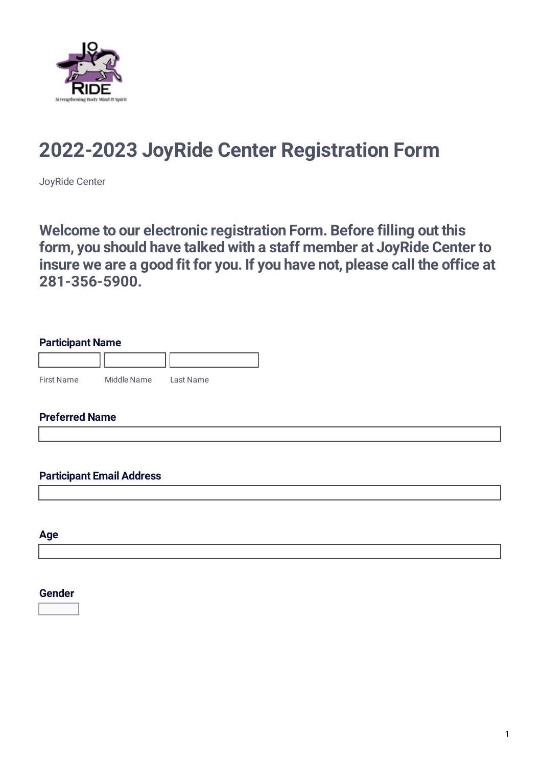

# **2022-2023 JoyRide Center Registration Form**

JoyRide Center

**Welcome to our electronic registration Form. Before filling out this form, you should have talked with a staff member at JoyRide Center to insure we are a good fit for you. If you have not, please call the office at 281-356-5900.**

#### **Participant Name**

| <b>First Name</b> | Middle Name | Last Name |
|-------------------|-------------|-----------|

#### **Preferred Name**

#### **Participant Email Address**

**Age**

#### **Gender**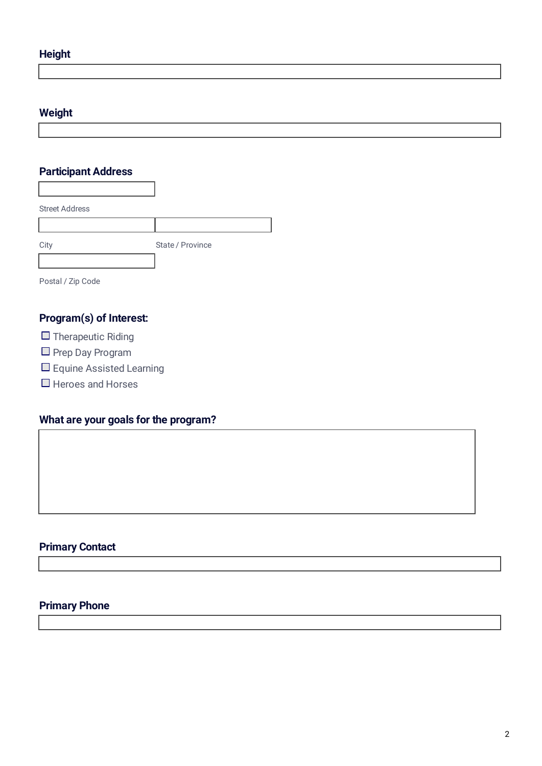## **Height**

#### **Weight**

Г

## **Participant Address**

| <b>Street Address</b> |                  |
|-----------------------|------------------|
|                       |                  |
| City                  | State / Province |
|                       |                  |
|                       |                  |

٦

Postal / Zip Code

## **Program(s) of Interest:**

- $\Box$  Therapeutic Riding
- **Prep Day Program**
- □ Equine Assisted Learning
- $\Box$  Heroes and Horses

## **What are your goals for the program?**

## **Primary Contact**

### **Primary Phone**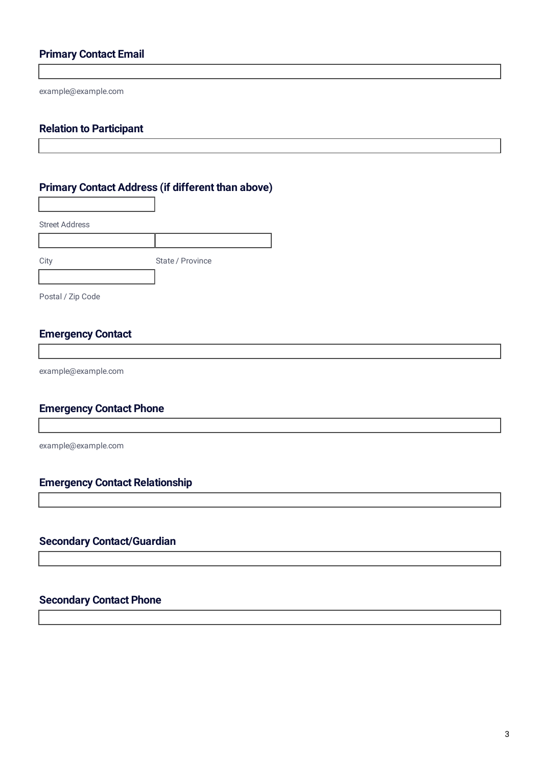#### **Primary Contact Email**

example@example.com

#### **Relation to Participant**

#### **Primary Contact Address (if different than above)**

Street Address City **State / Province** Postal / Zip Code

#### **Emergency Contact**

example@example.com

#### **Emergency Contact Phone**

example@example.com

#### **Emergency Contact Relationship**

#### **Secondary Contact/Guardian**

#### **Secondary Contact Phone**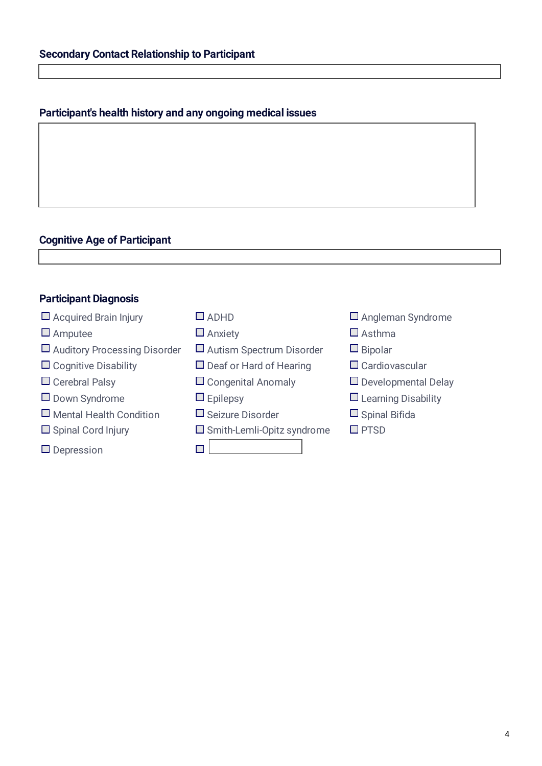## **Participant's health history and any ongoing medical issues**

## **Cognitive Age of Participant**

## **Participant Diagnosis**

| $\Box$ Acquired Brain Injury        | $\square$ ADHD                    | $\Box$ Angleman Syndrome   |
|-------------------------------------|-----------------------------------|----------------------------|
| $\Box$ Amputee                      | $\Box$ Anxiety                    | $\Box$ Asthma              |
| $\Box$ Auditory Processing Disorder | $\Box$ Autism Spectrum Disorder   | $\Box$ Bipolar             |
| $\Box$ Cognitive Disability         | $\Box$ Deaf or Hard of Hearing    | $\Box$ Cardiovascular      |
| $\Box$ Cerebral Palsy               | $\Box$ Congenital Anomaly         | $\Box$ Developmental Delay |
| $\Box$ Down Syndrome                | $\Box$ Epilepsy                   | $\Box$ Learning Disability |
| $\Box$ Mental Health Condition      | $\Box$ Seizure Disorder           | $\Box$ Spinal Bifida       |
| $\Box$ Spinal Cord Injury           | $\Box$ Smith-Lemli-Opitz syndrome | $\square$ PTSD             |
| $\Box$ Depression                   |                                   |                            |
|                                     |                                   |                            |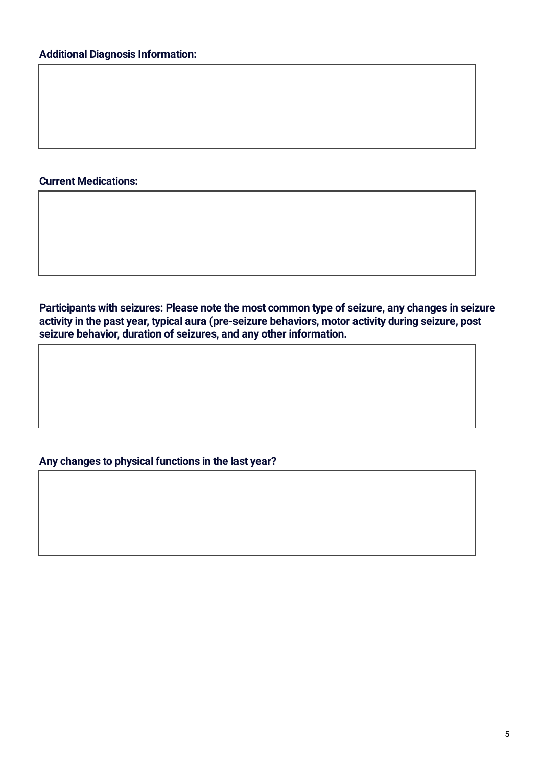#### **Current Medications:**

**Participants with seizures: Please note the most common type of seizure, any changes in seizure activity in the past year, typical aura (pre-seizure behaviors, motor activity during seizure, post seizure behavior, duration of seizures, and any other information.**

#### **Any changes to physical functions in the last year?**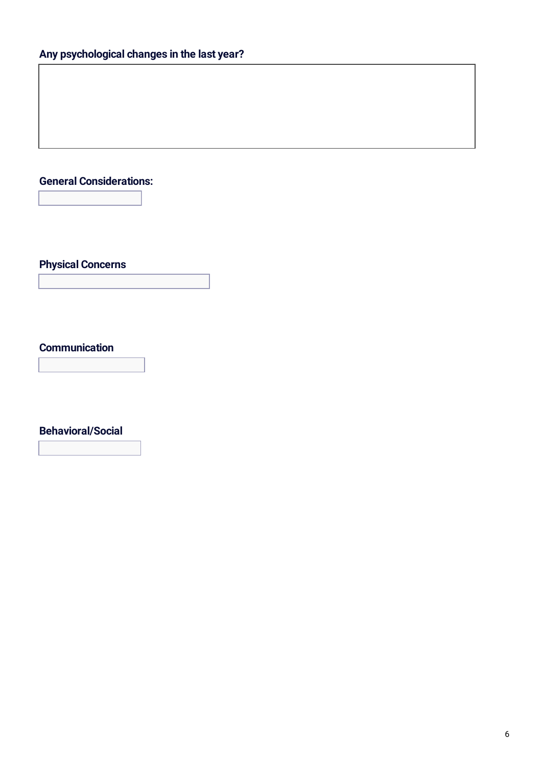## **General Considerations:**

**Physical Concerns**

**Communication**

**Behavioral/Social**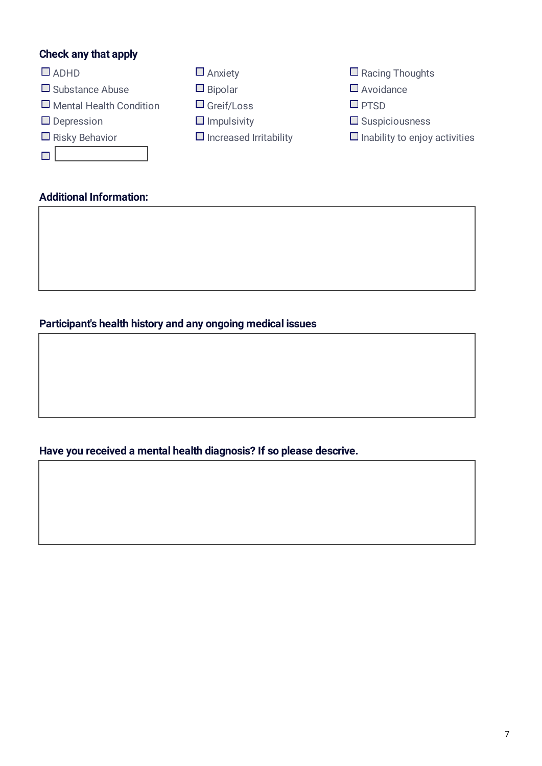#### **Check any that apply**



#### **Additional Information:**

### **Participant's health history and any ongoing medical issues**

**Have you received a mental health diagnosis? If so please descrive.**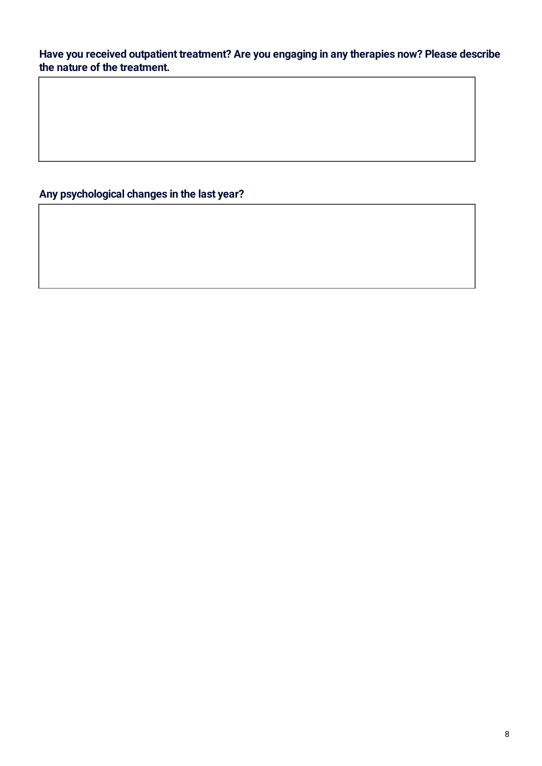#### **Have you received outpatient treatment? Are you engaging in any therapies now? Please describe the nature of the treatment.**

### **Any psychological changes in the last year?**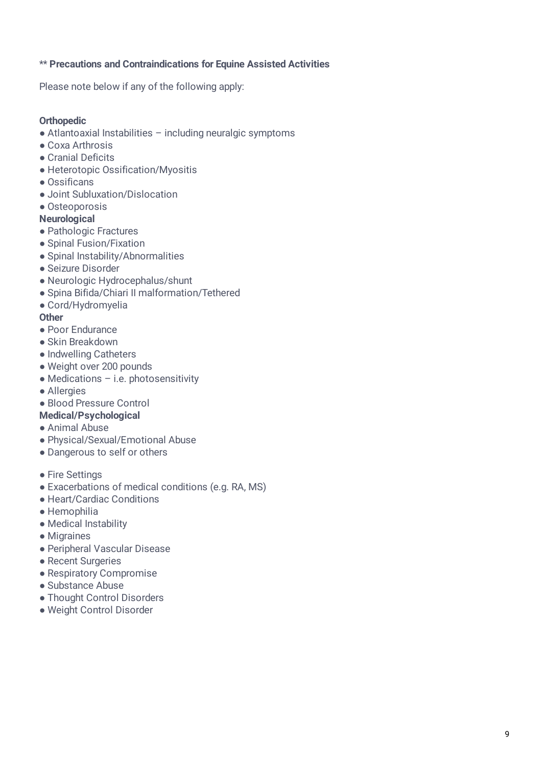#### \*\* **Precautions and Contraindications for Equine Assisted Activities**

Please note below if any of the following apply:

#### **Orthopedic**

- $\bullet$  Atlantoaxial Instabilities including neuralgic symptoms
- Coxa Arthrosis
- Cranial Deficits
- Heterotopic Ossification/Myositis
- Ossificans
- Joint Subluxation/Dislocation
- Osteoporosis

#### **Neurological**

- Pathologic Fractures
- Spinal Fusion/Fixation
- Spinal Instability/Abnormalities
- Seizure Disorder
- Neurologic Hydrocephalus/shunt
- Spina Bifida/Chiari II malformation/Tethered
- Cord/Hydromyelia
- **Other**
- Poor Endurance
- Skin Breakdown
- Indwelling Catheters
- Weight over 200 pounds
- $\bullet$  Medications i.e. photosensitivity
- Allergies
- Blood Pressure Control
- **Medical/Psychological**
- Animal Abuse
- Physical/Sexual/Emotional Abuse
- Dangerous to self or others
- Fire Settings
- Exacerbations of medical conditions (e.g. RA, MS)
- Heart/Cardiac Conditions
- Hemophilia
- Medical Instability
- Migraines
- Peripheral Vascular Disease
- Recent Surgeries
- Respiratory Compromise
- Substance Abuse
- Thought Control Disorders
- Weight Control Disorder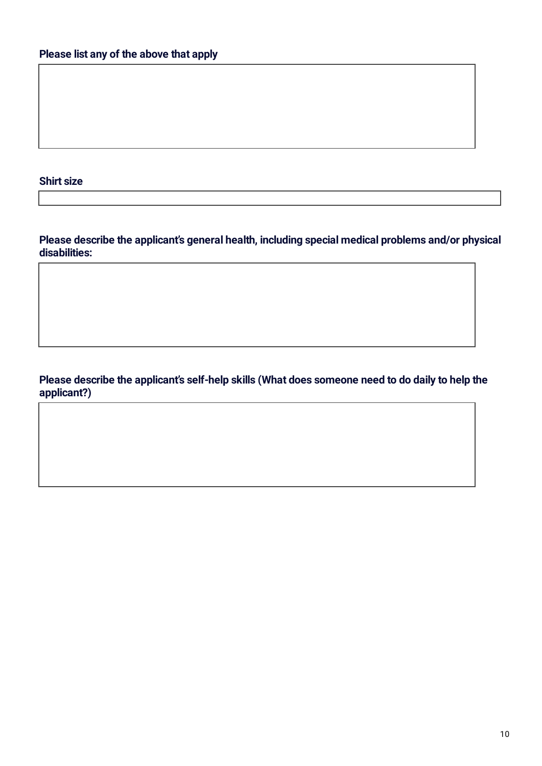**Shirt size**

**Please describe the applicant's general health, including special medical problems and/or physical disabilities:**

#### **Please describe the applicant's self-help skills (What does someone need to do daily to help the applicant?)**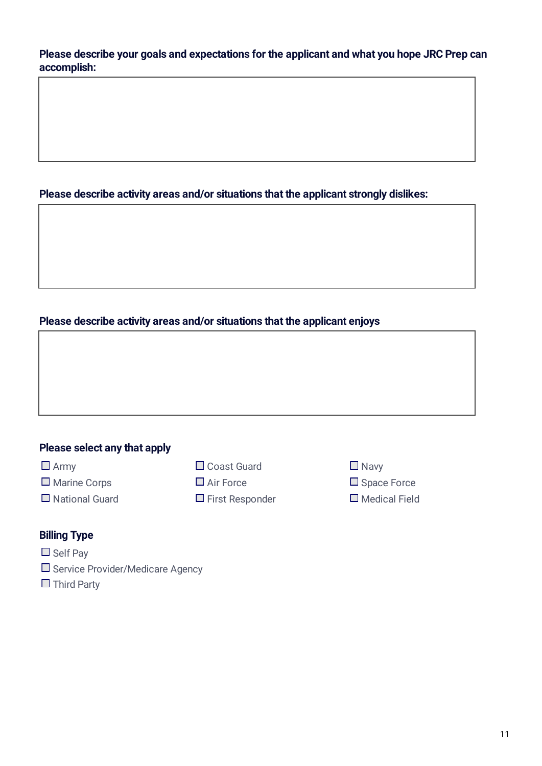**Please describe your goals and expectations for the applicant and what you hope JRC Prep can accomplish:**

#### **Please describe activity areas and/or situations that the applicant strongly dislikes:**

## **Please describe activity areas and/or situations that the applicant enjoys**

#### **Please select any that apply**

- 
- $\Box$  Marine Corps  $\Box$  Air Force  $\Box$  Space Force
- $\Box$  National Guard  $\Box$  First Responder  $\Box$  Medical Field
- $\square$  Army  $\square$  Coast Guard  $\square$  Navy
	-
	-
- 
- 

#### **Billing Type**

- $\Box$  Self Pav
- □ Service Provider/Medicare Agency
- $\Box$  Third Party

11